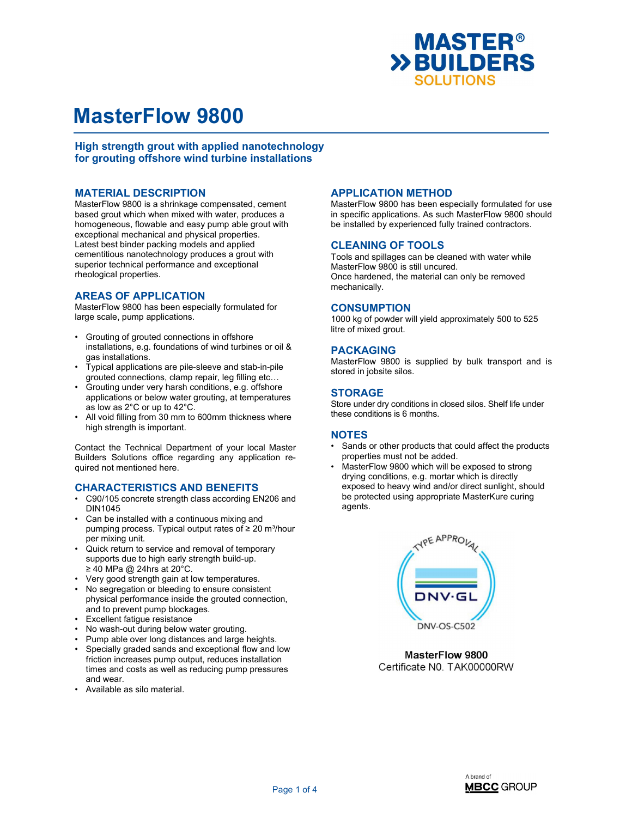

High strength grout with applied nanotechnology for grouting offshore wind turbine installations

### MATERIAL DESCRIPTION

MasterFlow 9800 is a shrinkage compensated, cement based grout which when mixed with water, produces a homogeneous, flowable and easy pump able grout with exceptional mechanical and physical properties. Latest best binder packing models and applied cementitious nanotechnology produces a grout with superior technical performance and exceptional rheological properties.

## AREAS OF APPLICATION

MasterFlow 9800 has been especially formulated for large scale, pump applications.

- Grouting of grouted connections in offshore installations, e.g. foundations of wind turbines or oil & gas installations.
- Typical applications are pile-sleeve and stab-in-pile grouted connections, clamp repair, leg filling etc…
- Grouting under very harsh conditions, e.g. offshore applications or below water grouting, at temperatures as low as 2°C or up to 42°C.
- All void filling from 30 mm to 600mm thickness where high strength is important.

Contact the Technical Department of your local Master Builders Solutions office regarding any application required not mentioned here.

### CHARACTERISTICS AND BENEFITS

- C90/105 concrete strength class according EN206 and DIN1045
- Can be installed with a continuous mixing and pumping process. Typical output rates of  $\geq 20$  m<sup>3</sup>/hour per mixing unit.
- Quick return to service and removal of temporary supports due to high early strength build-up. ≥ 40 MPa @ 24hrs at 20°C.
- Very good strength gain at low temperatures.
- No segregation or bleeding to ensure consistent physical performance inside the grouted connection, and to prevent pump blockages.
- Excellent fatigue resistance
- No wash-out during below water grouting.
- Pump able over long distances and large heights.
- Specially graded sands and exceptional flow and low friction increases pump output, reduces installation times and costs as well as reducing pump pressures and wear.
- Available as silo material.

### APPLICATION METHOD

MasterFlow 9800 has been especially formulated for use in specific applications. As such MasterFlow 9800 should be installed by experienced fully trained contractors.

### CLEANING OF TOOLS

Tools and spillages can be cleaned with water while MasterFlow 9800 is still uncured. Once hardened, the material can only be removed mechanically.

### **CONSUMPTION**

1000 kg of powder will yield approximately 500 to 525 litre of mixed grout.

### PACKAGING

MasterFlow 9800 is supplied by bulk transport and is stored in jobsite silos.

### STORAGE

Store under dry conditions in closed silos. Shelf life under these conditions is 6 months.

# NOTES

- Sands or other products that could affect the products properties must not be added.
- MasterFlow 9800 which will be exposed to strong drying conditions, e.g. mortar which is directly exposed to heavy wind and/or direct sunlight, should be protected using appropriate MasterKure curing agents.



MasterFlow 9800 Certificate N0. TAK00000RW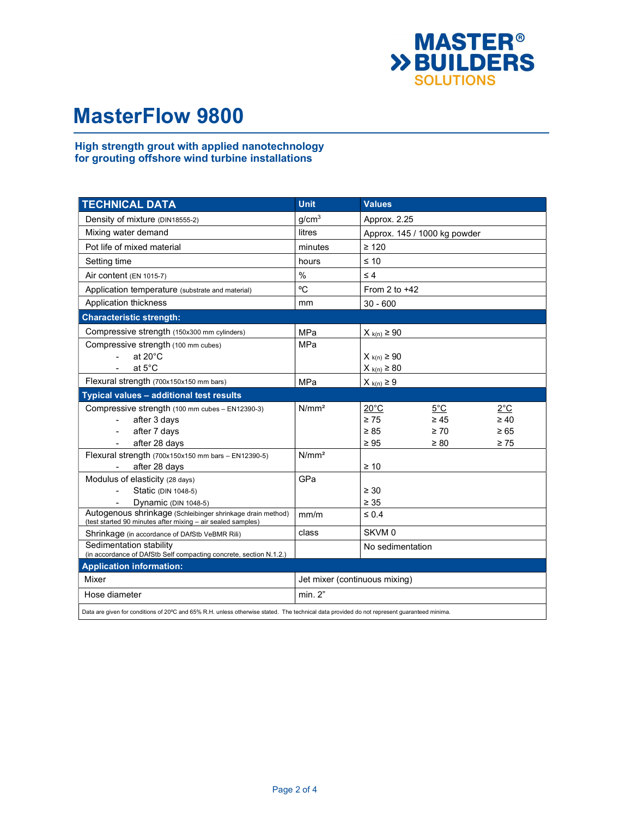

## High strength grout with applied nanotechnology for grouting offshore wind turbine installations

| <b>TECHNICAL DATA</b>                                                                                                                       | <b>Unit</b>                   | <b>Values</b>                |               |               |  |
|---------------------------------------------------------------------------------------------------------------------------------------------|-------------------------------|------------------------------|---------------|---------------|--|
| Density of mixture (DIN18555-2)                                                                                                             | g/cm <sup>3</sup>             | Approx. 2.25                 |               |               |  |
| Mixing water demand                                                                                                                         | litres                        | Approx. 145 / 1000 kg powder |               |               |  |
| Pot life of mixed material                                                                                                                  | minutes                       | $\geq 120$                   |               |               |  |
| Setting time                                                                                                                                | hours                         | $\leq 10$                    |               |               |  |
| Air content (EN 1015-7)                                                                                                                     | $\frac{0}{0}$                 | $\leq 4$                     |               |               |  |
| Application temperature (substrate and material)                                                                                            | °C                            | From 2 to $+42$              |               |               |  |
| Application thickness                                                                                                                       | mm                            | $30 - 600$                   |               |               |  |
| <b>Characteristic strength:</b>                                                                                                             |                               |                              |               |               |  |
| Compressive strength (150x300 mm cylinders)                                                                                                 | MPa                           | $X_{k(n)} \ge 90$            |               |               |  |
| Compressive strength (100 mm cubes)                                                                                                         | <b>MPa</b>                    |                              |               |               |  |
| at $20^{\circ}$ C<br>$\overline{a}$                                                                                                         |                               | $X_{k(n)} \ge 90$            |               |               |  |
| at $5^{\circ}$ C<br>$\overline{\phantom{a}}$                                                                                                |                               | $X_{k(n)} \geq 80$           |               |               |  |
| Flexural strength (700x150x150 mm bars)                                                                                                     | MPa                           | $X_{k(n)} \geq 9$            |               |               |  |
| Typical values - additional test results                                                                                                    |                               |                              |               |               |  |
| Compressive strength (100 mm cubes - EN12390-3)                                                                                             | N/mm <sup>2</sup>             | $20^{\circ}$ C               | $5^{\circ}$ C | $2^{\circ}$ C |  |
| after 3 days                                                                                                                                |                               | $\geq 75$                    | $\geq 45$     | $\geq 40$     |  |
| after 7 days                                                                                                                                |                               | $\geq 85$                    | $\geq 70$     | $\geq 65$     |  |
| after 28 days                                                                                                                               |                               | $\geq 95$                    | $\geq 80$     | $\geq 75$     |  |
| Flexural strength (700x150x150 mm bars - EN12390-5)                                                                                         | N/mm <sup>2</sup>             |                              |               |               |  |
| after 28 days                                                                                                                               |                               | $\geq 10$                    |               |               |  |
| Modulus of elasticity (28 days)                                                                                                             | GPa                           |                              |               |               |  |
| Static (DIN 1048-5)                                                                                                                         |                               | $\geq 30$                    |               |               |  |
| Dynamic (DIN 1048-5)                                                                                                                        |                               | $\geq 35$                    |               |               |  |
| Autogenous shrinkage (Schleibinger shrinkage drain method)<br>(test started 90 minutes after mixing - air sealed samples)                   | mm/m                          | $\leq 0.4$                   |               |               |  |
| Shrinkage (in accordance of DAfStb VeBMR Rili)                                                                                              | class                         | SKVM <sub>0</sub>            |               |               |  |
| Sedimentation stability<br>(in accordance of DAfStb Self compacting concrete, section N.1.2.)                                               |                               | No sedimentation             |               |               |  |
| <b>Application information:</b>                                                                                                             |                               |                              |               |               |  |
| Mixer                                                                                                                                       | Jet mixer (continuous mixing) |                              |               |               |  |
| Hose diameter                                                                                                                               | min. 2"                       |                              |               |               |  |
| Data are given for conditions of 20°C and 65% R.H. unless otherwise stated. The technical data provided do not represent guaranteed minima. |                               |                              |               |               |  |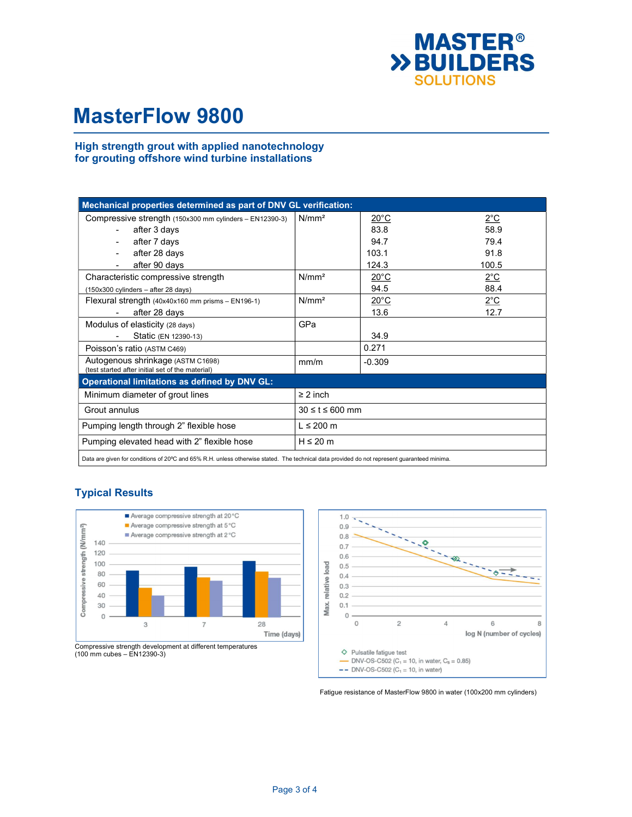

### High strength grout with applied nanotechnology for grouting offshore wind turbine installations

| Mechanical properties determined as part of DNV GL verification:                      |                         |                |               |  |  |  |
|---------------------------------------------------------------------------------------|-------------------------|----------------|---------------|--|--|--|
| Compressive strength (150x300 mm cylinders - EN12390-3)                               | N/mm <sup>2</sup>       | $20^{\circ}$ C | $2^{\circ}$ C |  |  |  |
| after 3 days                                                                          |                         | 83.8           | 58.9          |  |  |  |
| after 7 days                                                                          |                         | 94.7           | 79.4          |  |  |  |
| after 28 days                                                                         |                         | 103.1          | 91.8          |  |  |  |
| after 90 days                                                                         |                         | 124.3          | 100.5         |  |  |  |
| Characteristic compressive strength                                                   | N/mm <sup>2</sup>       | $20^{\circ}$ C | $2^{\circ}$ C |  |  |  |
| (150x300 cylinders - after 28 days)                                                   |                         | 94.5           | 88.4          |  |  |  |
| Flexural strength (40x40x160 mm prisms - EN196-1)                                     | N/mm <sup>2</sup>       | $20^{\circ}$ C | $2^{\circ}$ C |  |  |  |
| after 28 days<br>$\blacksquare$                                                       |                         | 13.6           | 12.7          |  |  |  |
| Modulus of elasticity (28 days)                                                       | GPa                     |                |               |  |  |  |
| Static (EN 12390-13)                                                                  |                         | 34.9           |               |  |  |  |
| Poisson's ratio (ASTM C469)                                                           |                         | 0.271          |               |  |  |  |
| Autogenous shrinkage (ASTM C1698)<br>(test started after initial set of the material) | mm/m                    | $-0.309$       |               |  |  |  |
| <b>Operational limitations as defined by DNV GL:</b>                                  |                         |                |               |  |  |  |
| Minimum diameter of grout lines                                                       | $\geq$ 2 inch           |                |               |  |  |  |
| Grout annulus                                                                         | $30 \leq t \leq 600$ mm |                |               |  |  |  |
| Pumping length through 2" flexible hose                                               | $L \leq 200$ m          |                |               |  |  |  |
| Pumping elevated head with 2" flexible hose                                           | $H \leq 20$ m           |                |               |  |  |  |
|                                                                                       |                         |                |               |  |  |  |

Data are given for conditions of 20ºC and 65% R.H. unless otherwise stated. The technical data provided do not represent guaranteed minima.



# Typical Results



Fatigue resistance of MasterFlow 9800 in water (100x200 mm cylinders)

Compressive strength development at different temperatures (100 mm cubes – EN12390-3)